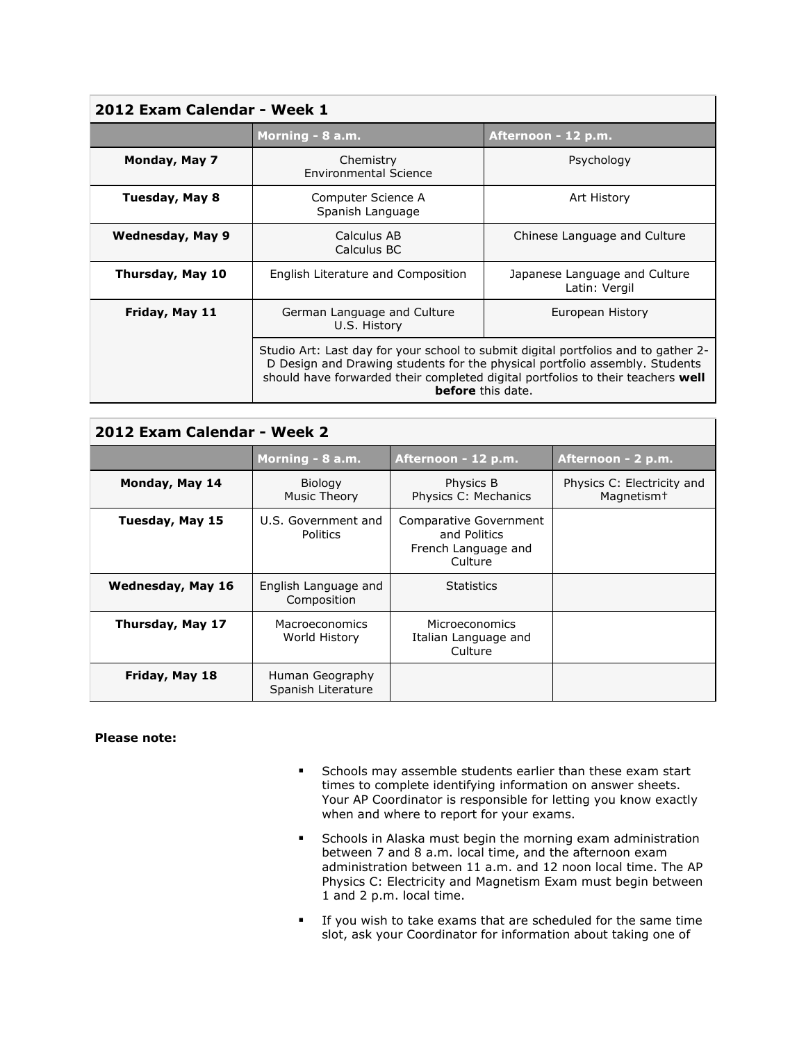| 2012 Exam Calendar - Week 1 |                                                                                                                                                                                                                                                                                  |                                                |  |  |
|-----------------------------|----------------------------------------------------------------------------------------------------------------------------------------------------------------------------------------------------------------------------------------------------------------------------------|------------------------------------------------|--|--|
|                             | Morning - 8 a.m.                                                                                                                                                                                                                                                                 | Afternoon - 12 p.m.                            |  |  |
| Monday, May 7               | Chemistry<br><b>Environmental Science</b>                                                                                                                                                                                                                                        | Psychology                                     |  |  |
| Tuesday, May 8              | Computer Science A<br>Spanish Language                                                                                                                                                                                                                                           | Art History                                    |  |  |
| Wednesday, May 9            | Calculus AB<br>Calculus BC                                                                                                                                                                                                                                                       | Chinese Language and Culture                   |  |  |
| Thursday, May 10            | English Literature and Composition                                                                                                                                                                                                                                               | Japanese Language and Culture<br>Latin: Vergil |  |  |
| Friday, May 11              | German Language and Culture<br>U.S. History                                                                                                                                                                                                                                      | European History                               |  |  |
|                             | Studio Art: Last day for your school to submit digital portfolios and to gather 2-<br>D Design and Drawing students for the physical portfolio assembly. Students<br>should have forwarded their completed digital portfolios to their teachers well<br><b>before</b> this date. |                                                |  |  |

| 2012 Exam Calendar - Week 2 |                                       |                                                                          |                                                      |  |
|-----------------------------|---------------------------------------|--------------------------------------------------------------------------|------------------------------------------------------|--|
|                             | Morning - 8 a.m.                      | Afternoon - 12 p.m.                                                      | Afternoon - 2 p.m.                                   |  |
| Monday, May 14              | <b>Biology</b><br>Music Theory        | Physics B<br>Physics C: Mechanics                                        | Physics C: Electricity and<br>Magnetism <sup>+</sup> |  |
| Tuesday, May 15             | U.S. Government and<br>Politics       | Comparative Government<br>and Politics<br>French Language and<br>Culture |                                                      |  |
| <b>Wednesday, May 16</b>    | English Language and<br>Composition   | Statistics                                                               |                                                      |  |
| Thursday, May 17            | Macroeconomics<br>World History       | <b>Microeconomics</b><br>Italian Language and<br>Culture                 |                                                      |  |
| Friday, May 18              | Human Geography<br>Spanish Literature |                                                                          |                                                      |  |

## **Please note:**

- **Schools may assemble students earlier than these exam start** times to complete identifying information on answer sheets. Your AP Coordinator is responsible for letting you know exactly when and where to report for your exams.
- **Schools in Alaska must begin the morning exam administration** between 7 and 8 a.m. local time, and the afternoon exam administration between 11 a.m. and 12 noon local time. The AP Physics C: Electricity and Magnetism Exam must begin between 1 and 2 p.m. local time.
- If you wish to take exams that are scheduled for the same time slot, ask your Coordinator for information about taking one of